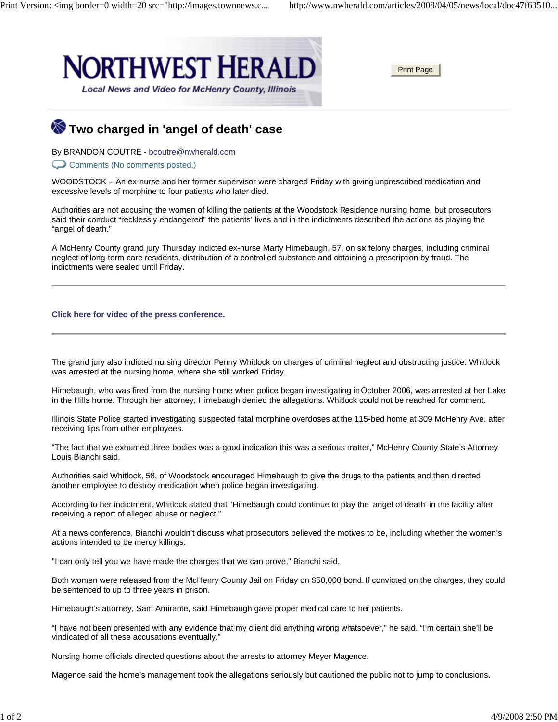

## **Two charged in 'angel of death' case**

By BRANDON COUTRE - bcoutre@nwherald.com

Comments (No comments posted.)

WOODSTOCK – An ex-nurse and her former supervisor were charged Friday with giving unprescribed medication and excessive levels of morphine to four patients who later died.

Authorities are not accusing the women of killing the patients at the Woodstock Residence nursing home, but prosecutors said their conduct "recklessly endangered" the patients' lives and in the indictments described the actions as playing the "angel of death."

A McHenry County grand jury Thursday indicted ex-nurse Marty Himebaugh, 57, on six felony charges, including criminal neglect of long-term care residents, distribution of a controlled substance and obtaining a prescription by fraud. The indictments were sealed until Friday.

## **Click here for video of the press conference.**

The grand jury also indicted nursing director Penny Whitlock on charges of criminal neglect and obstructing justice. Whitlock was arrested at the nursing home, where she still worked Friday.

Himebaugh, who was fired from the nursing home when police began investigating in October 2006, was arrested at her Lake in the Hills home. Through her attorney, Himebaugh denied the allegations. Whitlock could not be reached for comment.

Illinois State Police started investigating suspected fatal morphine overdoses at the 115-bed home at 309 McHenry Ave. after receiving tips from other employees.

"The fact that we exhumed three bodies was a good indication this was a serious matter," McHenry County State's Attorney Louis Bianchi said.

Authorities said Whitlock, 58, of Woodstock encouraged Himebaugh to give the drugs to the patients and then directed another employee to destroy medication when police began investigating.

According to her indictment, Whitlock stated that "Himebaugh could continue to play the 'angel of death' in the facility after receiving a report of alleged abuse or neglect."

At a news conference, Bianchi wouldn't discuss what prosecutors believed the motives to be, including whether the women's actions intended to be mercy killings.

"I can only tell you we have made the charges that we can prove," Bianchi said.

Both women were released from the McHenry County Jail on Friday on \$50,000 bond. If convicted on the charges, they could be sentenced to up to three years in prison.

Himebaugh's attorney, Sam Amirante, said Himebaugh gave proper medical care to her patients.

"I have not been presented with any evidence that my client did anything wrong whatsoever," he said. "I'm certain she'll be vindicated of all these accusations eventually."

Nursing home officials directed questions about the arrests to attorney Meyer Magence.

Magence said the home's management took the allegations seriously but cautioned the public not to jump to conclusions.